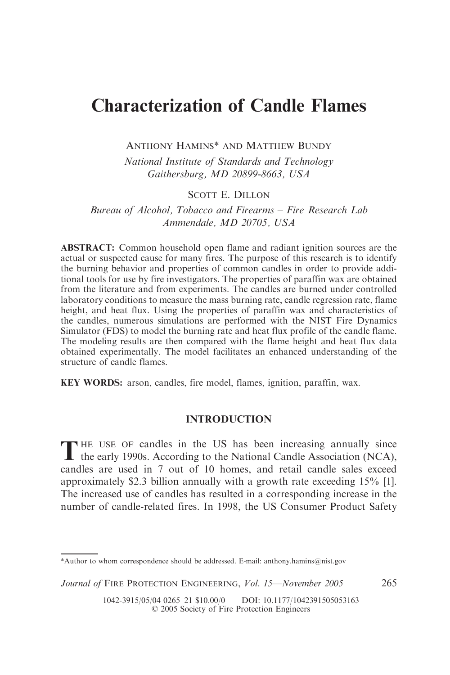# Characterization of Candle Flames

ANTHONY HAMINS\* AND MATTHEW BUNDY

National Institute of Standards and Technology Gaithersburg, MD 20899-8663, USA

## SCOTT E. DILLON

Bureau of Alcohol, Tobacco and Firearms – Fire Research Lab Ammendale, MD 20705, USA

ABSTRACT: Common household open flame and radiant ignition sources are the actual or suspected cause for many fires. The purpose of this research is to identify the burning behavior and properties of common candles in order to provide additional tools for use by fire investigators. The properties of paraffin wax are obtained from the literature and from experiments. The candles are burned under controlled laboratory conditions to measure the mass burning rate, candle regression rate, flame height, and heat flux. Using the properties of paraffin wax and characteristics of the candles, numerous simulations are performed with the NIST Fire Dynamics Simulator (FDS) to model the burning rate and heat flux profile of the candle flame. The modeling results are then compared with the flame height and heat flux data obtained experimentally. The model facilitates an enhanced understanding of the structure of candle flames.

KEY WORDS: arson, candles, fire model, flames, ignition, paraffin, wax.

#### INTRODUCTION

THE USE OF candles in the US has been increasing annually since<br>the early 1990s. According to the National Candle Association (NCA), candles are used in 7 out of 10 homes, and retail candle sales exceed approximately \$2.3 billion annually with a growth rate exceeding 15% [1]. The increased use of candles has resulted in a corresponding increase in the number of candle-related fires. In 1998, the US Consumer Product Safety

<sup>\*</sup>Author to whom correspondence should be addressed. E-mail: anthony.hamins@nist.gov

<sup>1042-3915/05/04 0265–21 \$10.00/0</sup> DOI: 10.1177/1042391505053163 2005 Society of Fire Protection Engineers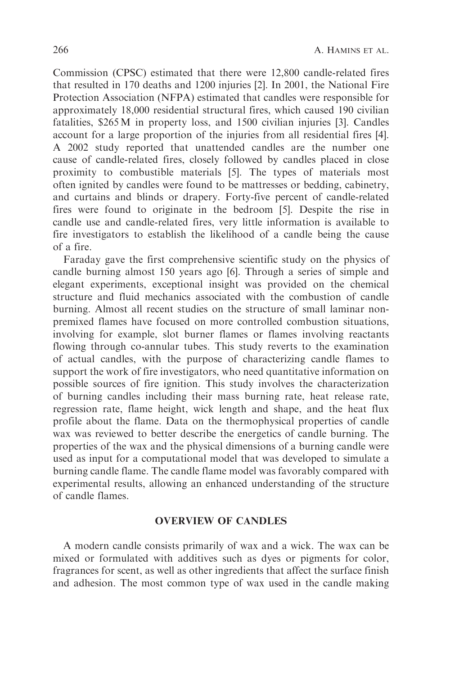Commission (CPSC) estimated that there were 12,800 candle-related fires that resulted in 170 deaths and 1200 injuries [2]. In 2001, the National Fire Protection Association (NFPA) estimated that candles were responsible for approximately 18,000 residential structural fires, which caused 190 civilian fatalities, \$265 M in property loss, and 1500 civilian injuries [3]. Candles account for a large proportion of the injuries from all residential fires [4]. A 2002 study reported that unattended candles are the number one cause of candle-related fires, closely followed by candles placed in close proximity to combustible materials [5]. The types of materials most often ignited by candles were found to be mattresses or bedding, cabinetry, and curtains and blinds or drapery. Forty-five percent of candle-related fires were found to originate in the bedroom [5]. Despite the rise in candle use and candle-related fires, very little information is available to fire investigators to establish the likelihood of a candle being the cause of a fire.

Faraday gave the first comprehensive scientific study on the physics of candle burning almost 150 years ago [6]. Through a series of simple and elegant experiments, exceptional insight was provided on the chemical structure and fluid mechanics associated with the combustion of candle burning. Almost all recent studies on the structure of small laminar nonpremixed flames have focused on more controlled combustion situations, involving for example, slot burner flames or flames involving reactants flowing through co-annular tubes. This study reverts to the examination of actual candles, with the purpose of characterizing candle flames to support the work of fire investigators, who need quantitative information on possible sources of fire ignition. This study involves the characterization of burning candles including their mass burning rate, heat release rate, regression rate, flame height, wick length and shape, and the heat flux profile about the flame. Data on the thermophysical properties of candle wax was reviewed to better describe the energetics of candle burning. The properties of the wax and the physical dimensions of a burning candle were used as input for a computational model that was developed to simulate a burning candle flame. The candle flame model was favorably compared with experimental results, allowing an enhanced understanding of the structure of candle flames.

## OVERVIEW OF CANDLES

A modern candle consists primarily of wax and a wick. The wax can be mixed or formulated with additives such as dyes or pigments for color, fragrances for scent, as well as other ingredients that affect the surface finish and adhesion. The most common type of wax used in the candle making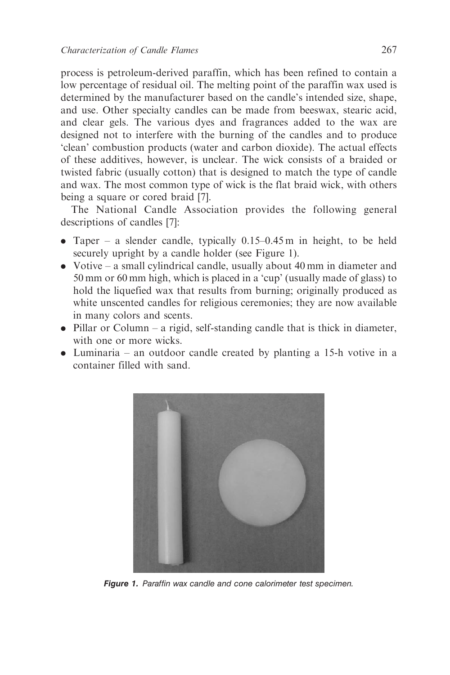process is petroleum-derived paraffin, which has been refined to contain a low percentage of residual oil. The melting point of the paraffin wax used is determined by the manufacturer based on the candle's intended size, shape, and use. Other specialty candles can be made from beeswax, stearic acid, and clear gels. The various dyes and fragrances added to the wax are designed not to interfere with the burning of the candles and to produce 'clean' combustion products (water and carbon dioxide). The actual effects of these additives, however, is unclear. The wick consists of a braided or twisted fabric (usually cotton) that is designed to match the type of candle and wax. The most common type of wick is the flat braid wick, with others being a square or cored braid [7].

The National Candle Association provides the following general descriptions of candles [7]:

- Taper a slender candle, typically  $0.15-0.45$  m in height, to be held securely upright by a candle holder (see Figure 1).
- . Votive a small cylindrical candle, usually about 40 mm in diameter and 50 mm or 60 mm high, which is placed in a 'cup' (usually made of glass) to hold the liquefied wax that results from burning; originally produced as white unscented candles for religious ceremonies; they are now available in many colors and scents.
- . Pillar or Column a rigid, self-standing candle that is thick in diameter, with one or more wicks.
- . Luminaria an outdoor candle created by planting a 15-h votive in a container filled with sand.



Figure 1. Paraffin wax candle and cone calorimeter test specimen.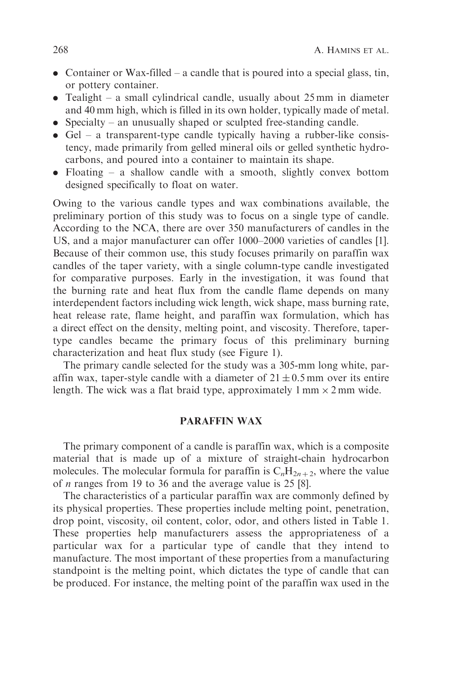- Container or Wax-filled a candle that is poured into a special glass, tin, or pottery container.
- . Tealight a small cylindrical candle, usually about 25 mm in diameter and 40 mm high, which is filled in its own holder, typically made of metal.
- . Specialty an unusually shaped or sculpted free-standing candle.
- $\bullet$  Gel a transparent-type candle typically having a rubber-like consistency, made primarily from gelled mineral oils or gelled synthetic hydrocarbons, and poured into a container to maintain its shape.
- . Floating a shallow candle with a smooth, slightly convex bottom designed specifically to float on water.

Owing to the various candle types and wax combinations available, the preliminary portion of this study was to focus on a single type of candle. According to the NCA, there are over 350 manufacturers of candles in the US, and a major manufacturer can offer 1000–2000 varieties of candles [1]. Because of their common use, this study focuses primarily on paraffin wax candles of the taper variety, with a single column-type candle investigated for comparative purposes. Early in the investigation, it was found that the burning rate and heat flux from the candle flame depends on many interdependent factors including wick length, wick shape, mass burning rate, heat release rate, flame height, and paraffin wax formulation, which has a direct effect on the density, melting point, and viscosity. Therefore, tapertype candles became the primary focus of this preliminary burning characterization and heat flux study (see Figure 1).

The primary candle selected for the study was a 305-mm long white, paraffin wax, taper-style candle with a diameter of  $21 \pm 0.5$  mm over its entire length. The wick was a flat braid type, approximately  $1 \text{ mm} \times 2 \text{ mm}$  wide.

# PARAFFIN WAX

The primary component of a candle is paraffin wax, which is a composite material that is made up of a mixture of straight-chain hydrocarbon molecules. The molecular formula for paraffin is  $C_nH_{2n+2}$ , where the value of n ranges from 19 to 36 and the average value is 25 [8].

The characteristics of a particular paraffin wax are commonly defined by its physical properties. These properties include melting point, penetration, drop point, viscosity, oil content, color, odor, and others listed in Table 1. These properties help manufacturers assess the appropriateness of a particular wax for a particular type of candle that they intend to manufacture. The most important of these properties from a manufacturing standpoint is the melting point, which dictates the type of candle that can be produced. For instance, the melting point of the paraffin wax used in the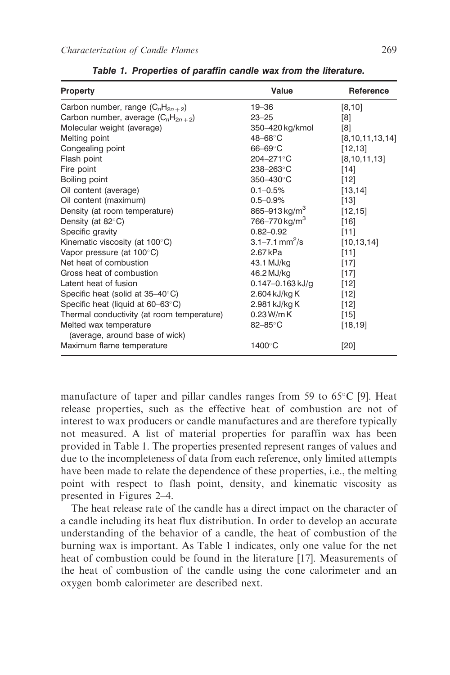| <b>Property</b>                            | Value                          | <b>Reference</b>    |
|--------------------------------------------|--------------------------------|---------------------|
| Carbon number, range $(C_nH_{2n+2})$       | $19 - 36$                      | $[8,10]$            |
| Carbon number, average $(C_nH_{2n+2})$     | $23 - 25$                      | [8]                 |
| Molecular weight (average)                 | 350-420 kg/kmol                | [8]                 |
| Melting point                              | $48-68$ °C                     | [8, 10, 11, 13, 14] |
| Congealing point                           | $66-69^\circ C$                | [12, 13]            |
| Flash point                                | 204-271°C                      | [8, 10, 11, 13]     |
| Fire point                                 | 238-263°C                      | [14]                |
| Boiling point                              | 350-430°C                      | $[12]$              |
| Oil content (average)                      | $0.1 - 0.5\%$                  | [13, 14]            |
| Oil content (maximum)                      | $0.5 - 0.9%$                   | $[13]$              |
| Density (at room temperature)              | 865–913 kg/m <sup>3</sup>      | [12, 15]            |
| Density (at 82°C)                          | 766–770 kg/m <sup>3</sup>      | $[16]$              |
| Specific gravity                           | $0.82 - 0.92$                  | [11]                |
| Kinematic viscosity (at $100^{\circ}$ C)   | $3.1 - 7.1$ mm <sup>2</sup> /s | [10, 13, 14]        |
| Vapor pressure (at 100°C)                  | 2.67 kPa                       | [11]                |
| Net heat of combustion                     | 43.1 MJ/kg                     | $[17]$              |
| Gross heat of combustion                   | 46.2 MJ/kg                     | $[17]$              |
| Latent heat of fusion                      | $0.147 - 0.163$ kJ/g           | $[12]$              |
| Specific heat (solid at 35–40°C)           | 2.604 kJ/kg K                  | $[12]$              |
| Specific heat (liquid at 60–63°C)          | 2.981 kJ/kg K                  | $[12]$              |
| Thermal conductivity (at room temperature) | $0.23$ W/m K                   | $[15]$              |
| Melted wax temperature                     | $82 - 85$ °C                   | [18, 19]            |
| (average, around base of wick)             |                                |                     |
| Maximum flame temperature                  | $1400^\circ C$                 | [20]                |

Table 1. Properties of paraffin candle wax from the literature.

manufacture of taper and pillar candles ranges from 59 to  $65^{\circ}$ C [9]. Heat release properties, such as the effective heat of combustion are not of interest to wax producers or candle manufactures and are therefore typically not measured. A list of material properties for paraffin wax has been provided in Table 1. The properties presented represent ranges of values and due to the incompleteness of data from each reference, only limited attempts have been made to relate the dependence of these properties, i.e., the melting point with respect to flash point, density, and kinematic viscosity as presented in Figures 2–4.

The heat release rate of the candle has a direct impact on the character of a candle including its heat flux distribution. In order to develop an accurate understanding of the behavior of a candle, the heat of combustion of the burning wax is important. As Table 1 indicates, only one value for the net heat of combustion could be found in the literature [17]. Measurements of the heat of combustion of the candle using the cone calorimeter and an oxygen bomb calorimeter are described next.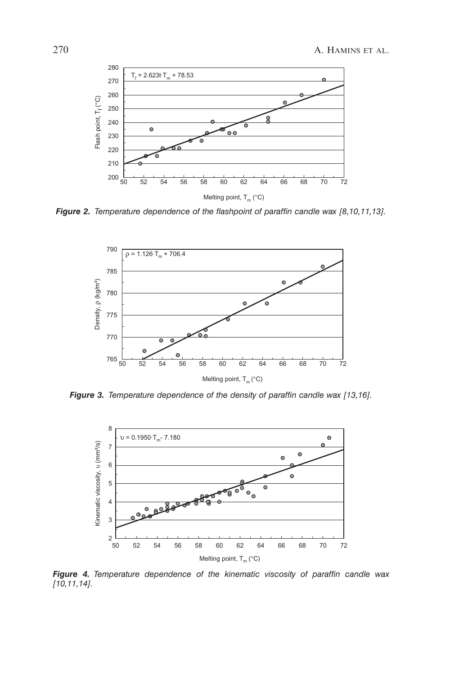

Figure 2. Temperature dependence of the flashpoint of paraffin candle wax [8,10,11,13].



Figure 3. Temperature dependence of the density of paraffin candle wax [13,16].



Figure 4. Temperature dependence of the kinematic viscosity of paraffin candle wax [10,11,14].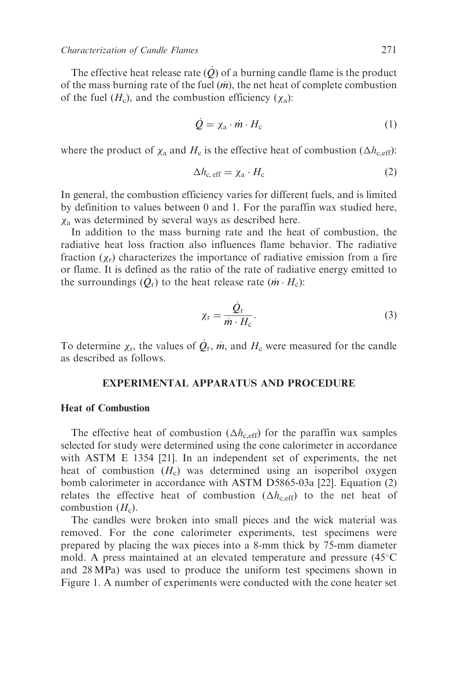The effective heat release rate  $\overline{Q}$  of a burning candle flame is the product of the mass burning rate of the fuel  $(m)$ , the net heat of complete combustion of the fuel  $(H_c)$ , and the combustion efficiency  $(\chi_a)$ :

$$
\dot{Q} = \chi_{\rm a} \cdot \dot{m} \cdot H_{\rm c} \tag{1}
$$

where the product of  $\chi_a$  and  $H_c$  is the effective heat of combustion ( $\Delta h_{c,eff}$ ):

$$
\Delta h_{\rm c,eff} = \chi_{\rm a} \cdot H_{\rm c} \tag{2}
$$

In general, the combustion efficiency varies for different fuels, and is limited by definition to values between 0 and 1. For the paraffin wax studied here,  $\chi$ <sub>a</sub> was determined by several ways as described here.

In addition to the mass burning rate and the heat of combustion, the radiative heat loss fraction also influences flame behavior. The radiative fraction  $(\chi_r)$  characterizes the importance of radiative emission from a fire or flame. It is defined as the ratio of the rate of radiative energy emitted to the surroundings  $(Q_r)$  to the heat release rate  $(\dot{m} \cdot H_c)$ :

$$
\chi_{\rm r} = \frac{\dot{Q}_{\rm r}}{\dot{m} \cdot H_{\rm c}}.\tag{3}
$$

To determine  $\chi_r$ , the values of  $\dot{Q}_r$ , *m*, and  $H_c$  were measured for the candle as described as follows.

## EXPERIMENTAL APPARATUS AND PROCEDURE

## Heat of Combustion

The effective heat of combustion  $(\Delta h_{c,eff})$  for the paraffin wax samples selected for study were determined using the cone calorimeter in accordance with ASTM E 1354 [21]. In an independent set of experiments, the net heat of combustion  $(H_c)$  was determined using an isoperibol oxygen bomb calorimeter in accordance with ASTM D5865-03a [22]. Equation (2) relates the effective heat of combustion  $(\Delta h_{c,eff})$  to the net heat of combustion  $(H_c)$ .

The candles were broken into small pieces and the wick material was removed. For the cone calorimeter experiments, test specimens were prepared by placing the wax pieces into a 8-mm thick by 75-mm diameter mold. A press maintained at an elevated temperature and pressure  $(45^{\circ}C)$ and 28 MPa) was used to produce the uniform test specimens shown in Figure 1. A number of experiments were conducted with the cone heater set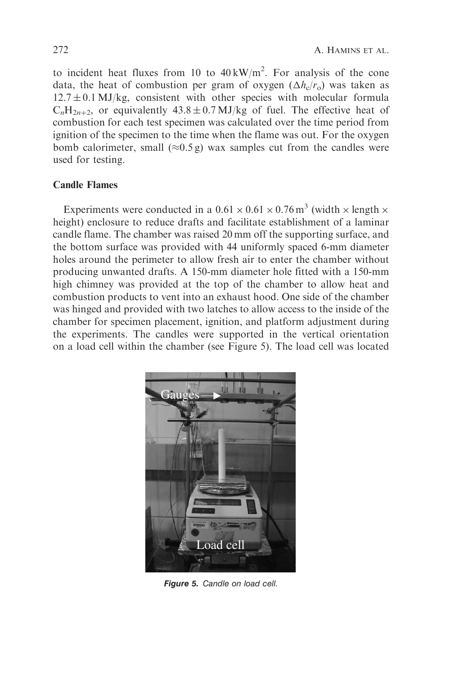to incident heat fluxes from 10 to  $40 \,\mathrm{kW/m^2}$ . For analysis of the cone data, the heat of combustion per gram of oxygen  $(\Delta h_c/r_o)$  was taken as  $12.7 \pm 0.1$  MJ/kg, consistent with other species with molecular formula  $C_nH_{2n+2}$ , or equivalently  $43.8 \pm 0.7$  MJ/kg of fuel. The effective heat of combustion for each test specimen was calculated over the time period from ignition of the specimen to the time when the flame was out. For the oxygen bomb calorimeter, small  $(\approx 0.5 \text{ g})$  wax samples cut from the candles were used for testing.

### Candle Flames

Experiments were conducted in a  $0.61 \times 0.61 \times 0.76$  m<sup>3</sup> (width  $\times$  length  $\times$ height) enclosure to reduce drafts and facilitate establishment of a laminar candle flame. The chamber was raised 20 mm off the supporting surface, and the bottom surface was provided with 44 uniformly spaced 6-mm diameter holes around the perimeter to allow fresh air to enter the chamber without producing unwanted drafts. A 150-mm diameter hole fitted with a 150-mm high chimney was provided at the top of the chamber to allow heat and combustion products to vent into an exhaust hood. One side of the chamber was hinged and provided with two latches to allow access to the inside of the chamber for specimen placement, ignition, and platform adjustment during the experiments. The candles were supported in the vertical orientation on a load cell within the chamber (see Figure 5). The load cell was located



Figure 5. Candle on load cell.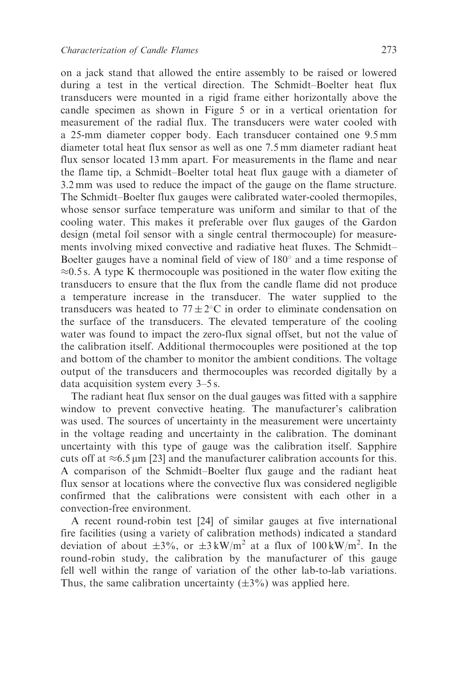on a jack stand that allowed the entire assembly to be raised or lowered during a test in the vertical direction. The Schmidt–Boelter heat flux transducers were mounted in a rigid frame either horizontally above the candle specimen as shown in Figure 5 or in a vertical orientation for measurement of the radial flux. The transducers were water cooled with a 25-mm diameter copper body. Each transducer contained one 9.5 mm diameter total heat flux sensor as well as one 7.5 mm diameter radiant heat flux sensor located 13 mm apart. For measurements in the flame and near the flame tip, a Schmidt–Boelter total heat flux gauge with a diameter of 3.2 mm was used to reduce the impact of the gauge on the flame structure. The Schmidt–Boelter flux gauges were calibrated water-cooled thermopiles, whose sensor surface temperature was uniform and similar to that of the cooling water. This makes it preferable over flux gauges of the Gardon design (metal foil sensor with a single central thermocouple) for measurements involving mixed convective and radiative heat fluxes. The Schmidt– Boelter gauges have a nominal field of view of  $180^\circ$  and a time response of  $\approx 0.5$  s. A type K thermocouple was positioned in the water flow exiting the transducers to ensure that the flux from the candle flame did not produce a temperature increase in the transducer. The water supplied to the transducers was heated to  $77 \pm 2^{\circ}$ C in order to eliminate condensation on the surface of the transducers. The elevated temperature of the cooling water was found to impact the zero-flux signal offset, but not the value of the calibration itself. Additional thermocouples were positioned at the top and bottom of the chamber to monitor the ambient conditions. The voltage output of the transducers and thermocouples was recorded digitally by a data acquisition system every 3–5 s.

The radiant heat flux sensor on the dual gauges was fitted with a sapphire window to prevent convective heating. The manufacturer's calibration was used. The sources of uncertainty in the measurement were uncertainty in the voltage reading and uncertainty in the calibration. The dominant uncertainty with this type of gauge was the calibration itself. Sapphire cuts off at  $\approx 6.5 \,\text{\mu m}$  [23] and the manufacturer calibration accounts for this. A comparison of the Schmidt–Boelter flux gauge and the radiant heat flux sensor at locations where the convective flux was considered negligible confirmed that the calibrations were consistent with each other in a convection-free environment.

A recent round-robin test [24] of similar gauges at five international fire facilities (using a variety of calibration methods) indicated a standard deviation of about  $\pm 3\%$ , or  $\pm 3 \text{ kW/m}^2$  at a flux of  $100 \text{ kW/m}^2$ . In the round-robin study, the calibration by the manufacturer of this gauge fell well within the range of variation of the other lab-to-lab variations. Thus, the same calibration uncertainty  $(\pm 3\%)$  was applied here.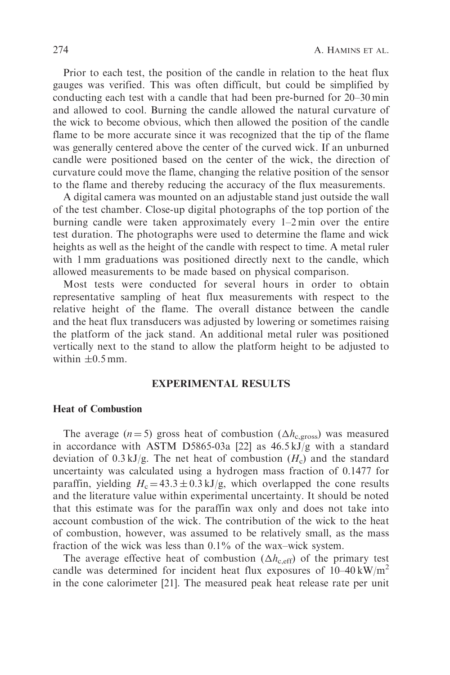Prior to each test, the position of the candle in relation to the heat flux gauges was verified. This was often difficult, but could be simplified by conducting each test with a candle that had been pre-burned for 20–30 min and allowed to cool. Burning the candle allowed the natural curvature of the wick to become obvious, which then allowed the position of the candle flame to be more accurate since it was recognized that the tip of the flame was generally centered above the center of the curved wick. If an unburned candle were positioned based on the center of the wick, the direction of curvature could move the flame, changing the relative position of the sensor to the flame and thereby reducing the accuracy of the flux measurements.

A digital camera was mounted on an adjustable stand just outside the wall of the test chamber. Close-up digital photographs of the top portion of the burning candle were taken approximately every 1–2 min over the entire test duration. The photographs were used to determine the flame and wick heights as well as the height of the candle with respect to time. A metal ruler with 1 mm graduations was positioned directly next to the candle, which allowed measurements to be made based on physical comparison.

Most tests were conducted for several hours in order to obtain representative sampling of heat flux measurements with respect to the relative height of the flame. The overall distance between the candle and the heat flux transducers was adjusted by lowering or sometimes raising the platform of the jack stand. An additional metal ruler was positioned vertically next to the stand to allow the platform height to be adjusted to within  $\pm 0.5$  mm.

### EXPERIMENTAL RESULTS

## Heat of Combustion

The average ( $n = 5$ ) gross heat of combustion ( $\Delta h_{c,gross}$ ) was measured in accordance with ASTM D5865-03a [22] as 46.5 kJ/g with a standard deviation of  $0.3 \text{ kJ/g}$ . The net heat of combustion  $(H_c)$  and the standard uncertainty was calculated using a hydrogen mass fraction of 0.1477 for paraffin, yielding  $H_c = 43.3 \pm 0.3 \text{ kJ/g}$ , which overlapped the cone results and the literature value within experimental uncertainty. It should be noted that this estimate was for the paraffin wax only and does not take into account combustion of the wick. The contribution of the wick to the heat of combustion, however, was assumed to be relatively small, as the mass fraction of the wick was less than 0.1% of the wax–wick system.

The average effective heat of combustion ( $\Delta h_{\text{c,eff}}$ ) of the primary test candle was determined for incident heat flux exposures of  $10-40 \,\mathrm{kW/m}^2$ in the cone calorimeter [21]. The measured peak heat release rate per unit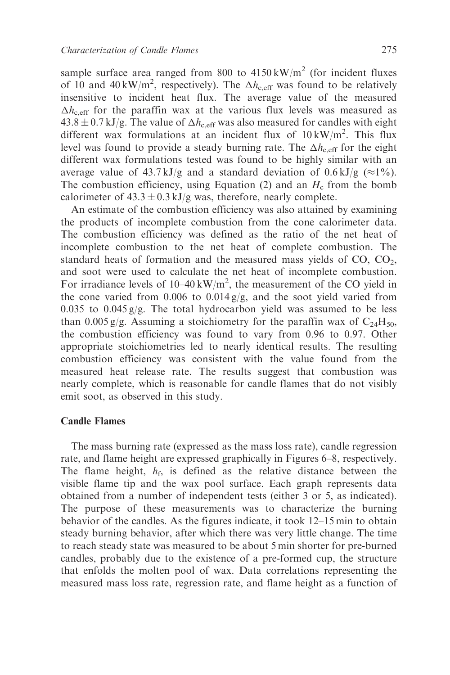sample surface area ranged from 800 to  $4150 \text{ kW/m}^2$  (for incident fluxes of 10 and 40 kW/m<sup>2</sup>, respectively). The  $\Delta h_{c,eff}$  was found to be relatively insensitive to incident heat flux. The average value of the measured  $\Delta h_{\text{c,eff}}$  for the paraffin wax at the various flux levels was measured as  $43.8 \pm 0.7$  kJ/g. The value of  $\Delta h_{c,eff}$  was also measured for candles with eight different wax formulations at an incident flux of  $10 \text{ kW/m}^2$ . This flux level was found to provide a steady burning rate. The  $\Delta h_{\text{c,eff}}$  for the eight different wax formulations tested was found to be highly similar with an average value of  $43.7 \text{ kJ/g}$  and a standard deviation of  $0.6 \text{ kJ/g}$  ( $\approx 1\%$ ). The combustion efficiency, using Equation (2) and an  $H_c$  from the bomb calorimeter of  $43.3 \pm 0.3$  kJ/g was, therefore, nearly complete.

An estimate of the combustion efficiency was also attained by examining the products of incomplete combustion from the cone calorimeter data. The combustion efficiency was defined as the ratio of the net heat of incomplete combustion to the net heat of complete combustion. The standard heats of formation and the measured mass yields of  $CO$ ,  $CO<sub>2</sub>$ , and soot were used to calculate the net heat of incomplete combustion. For irradiance levels of  $10-40 \text{ kW/m}^2$ , the measurement of the CO yield in the cone varied from 0.006 to  $0.014 \frac{g}{g}$ , and the soot yield varied from 0.035 to 0.045  $g/g$ . The total hydrocarbon yield was assumed to be less than 0.005 g/g. Assuming a stoichiometry for the paraffin wax of  $C_{24}H_{50}$ , the combustion efficiency was found to vary from 0.96 to 0.97. Other appropriate stoichiometries led to nearly identical results. The resulting combustion efficiency was consistent with the value found from the measured heat release rate. The results suggest that combustion was nearly complete, which is reasonable for candle flames that do not visibly emit soot, as observed in this study.

## Candle Flames

The mass burning rate (expressed as the mass loss rate), candle regression rate, and flame height are expressed graphically in Figures 6–8, respectively. The flame height,  $h_f$ , is defined as the relative distance between the visible flame tip and the wax pool surface. Each graph represents data obtained from a number of independent tests (either 3 or 5, as indicated). The purpose of these measurements was to characterize the burning behavior of the candles. As the figures indicate, it took 12–15 min to obtain steady burning behavior, after which there was very little change. The time to reach steady state was measured to be about 5 min shorter for pre-burned candles, probably due to the existence of a pre-formed cup, the structure that enfolds the molten pool of wax. Data correlations representing the measured mass loss rate, regression rate, and flame height as a function of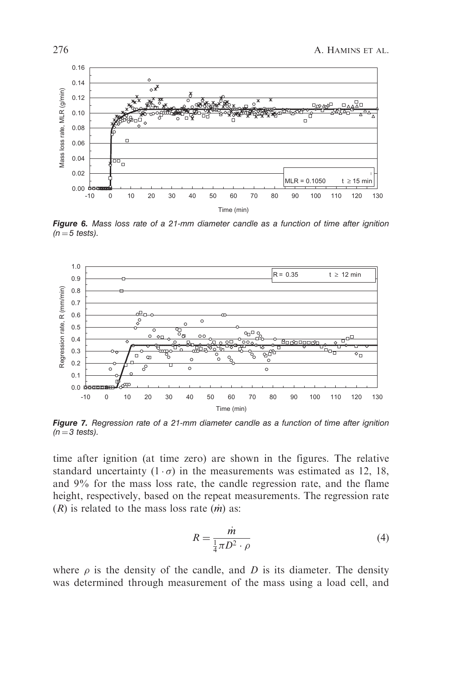

Figure 6. Mass loss rate of a 21-mm diameter candle as a function of time after ignition  $(n = 5$  tests).



**Figure 7.** Regression rate of a 21-mm diameter candle as a function of time after ignition  $(n = 3$  tests).

time after ignition (at time zero) are shown in the figures. The relative standard uncertainty  $(1 \cdot \sigma)$  in the measurements was estimated as 12, 18, and 9% for the mass loss rate, the candle regression rate, and the flame height, respectively, based on the repeat measurements. The regression rate  $(R)$  is related to the mass loss rate  $(m)$  as:

$$
R = \frac{\dot{m}}{\frac{1}{4}\pi D^2 \cdot \rho} \tag{4}
$$

where  $\rho$  is the density of the candle, and D is its diameter. The density was determined through measurement of the mass using a load cell, and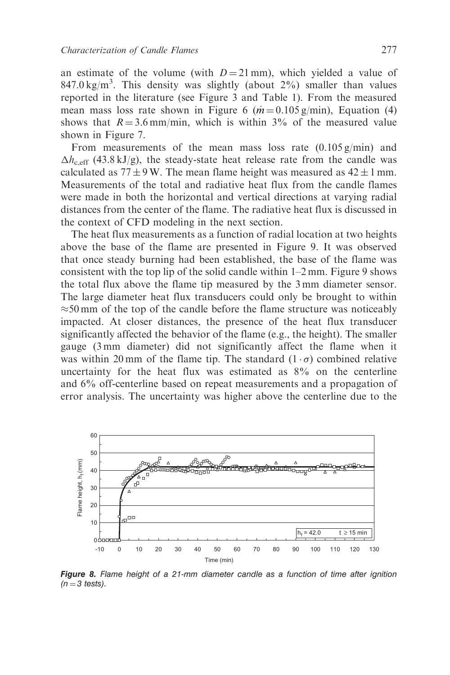an estimate of the volume (with  $D = 21$  mm), which yielded a value of  $847.0 \text{ kg/m}^3$ . This density was slightly (about 2%) smaller than values reported in the literature (see Figure 3 and Table 1). From the measured mean mass loss rate shown in Figure 6 ( $\dot{m} = 0.105$  g/min), Equation (4) shows that  $R = 3.6$  mm/min, which is within 3% of the measured value shown in Figure 7.

From measurements of the mean mass loss rate  $(0.105 \text{ g/min})$  and  $\Delta h_{\text{c,eff}}$  (43.8 kJ/g), the steady-state heat release rate from the candle was calculated as  $77 \pm 9$  W. The mean flame height was measured as  $42 \pm 1$  mm. Measurements of the total and radiative heat flux from the candle flames were made in both the horizontal and vertical directions at varying radial distances from the center of the flame. The radiative heat flux is discussed in the context of CFD modeling in the next section.

The heat flux measurements as a function of radial location at two heights above the base of the flame are presented in Figure 9. It was observed that once steady burning had been established, the base of the flame was consistent with the top lip of the solid candle within 1–2 mm. Figure 9 shows the total flux above the flame tip measured by the 3 mm diameter sensor. The large diameter heat flux transducers could only be brought to within  $\approx$  50 mm of the top of the candle before the flame structure was noticeably impacted. At closer distances, the presence of the heat flux transducer significantly affected the behavior of the flame (e.g., the height). The smaller gauge (3 mm diameter) did not significantly affect the flame when it was within 20 mm of the flame tip. The standard  $(1 \cdot \sigma)$  combined relative uncertainty for the heat flux was estimated as 8% on the centerline and 6% off-centerline based on repeat measurements and a propagation of error analysis. The uncertainty was higher above the centerline due to the



Figure 8. Flame height of a 21-mm diameter candle as a function of time after ignition  $(n = 3$  tests).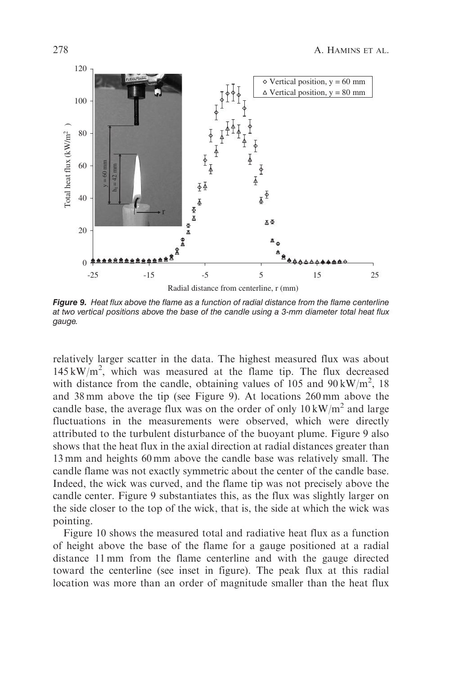

Figure 9. Heat flux above the flame as a function of radial distance from the flame centerline at two vertical positions above the base of the candle using a 3-mm diameter total heat flux gauge.

relatively larger scatter in the data. The highest measured flux was about 145 kW/m<sup>2</sup> , which was measured at the flame tip. The flux decreased with distance from the candle, obtaining values of  $105$  and  $90 \text{ kW/m}^2$ , 18 and 38 mm above the tip (see Figure 9). At locations 260 mm above the candle base, the average flux was on the order of only  $10 \, \text{kW/m}^2$  and large fluctuations in the measurements were observed, which were directly attributed to the turbulent disturbance of the buoyant plume. Figure 9 also shows that the heat flux in the axial direction at radial distances greater than 13 mm and heights 60 mm above the candle base was relatively small. The candle flame was not exactly symmetric about the center of the candle base. Indeed, the wick was curved, and the flame tip was not precisely above the candle center. Figure 9 substantiates this, as the flux was slightly larger on the side closer to the top of the wick, that is, the side at which the wick was pointing.

Figure 10 shows the measured total and radiative heat flux as a function of height above the base of the flame for a gauge positioned at a radial distance 11 mm from the flame centerline and with the gauge directed toward the centerline (see inset in figure). The peak flux at this radial location was more than an order of magnitude smaller than the heat flux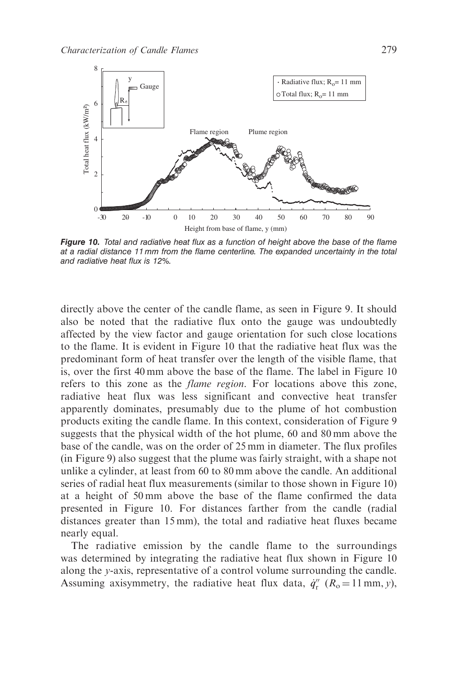

**Figure 10.** Total and radiative heat flux as a function of height above the base of the flame at a radial distance 11 mm from the flame centerline. The expanded uncertainty in the total and radiative heat flux is 12%.

directly above the center of the candle flame, as seen in Figure 9. It should also be noted that the radiative flux onto the gauge was undoubtedly affected by the view factor and gauge orientation for such close locations to the flame. It is evident in Figure 10 that the radiative heat flux was the predominant form of heat transfer over the length of the visible flame, that is, over the first 40 mm above the base of the flame. The label in Figure 10 refers to this zone as the flame region. For locations above this zone, radiative heat flux was less significant and convective heat transfer apparently dominates, presumably due to the plume of hot combustion products exiting the candle flame. In this context, consideration of Figure 9 suggests that the physical width of the hot plume, 60 and 80 mm above the base of the candle, was on the order of 25 mm in diameter. The flux profiles (in Figure 9) also suggest that the plume was fairly straight, with a shape not unlike a cylinder, at least from 60 to 80 mm above the candle. An additional series of radial heat flux measurements (similar to those shown in Figure 10) at a height of 50 mm above the base of the flame confirmed the data presented in Figure 10. For distances farther from the candle (radial distances greater than 15 mm), the total and radiative heat fluxes became nearly equal.

The radiative emission by the candle flame to the surroundings was determined by integrating the radiative heat flux shown in Figure 10 along the y-axis, representative of a control volume surrounding the candle. Assuming axisymmetry, the radiative heat flux data,  $\dot{q}_r''$  ( $R_o = 11$  mm, y),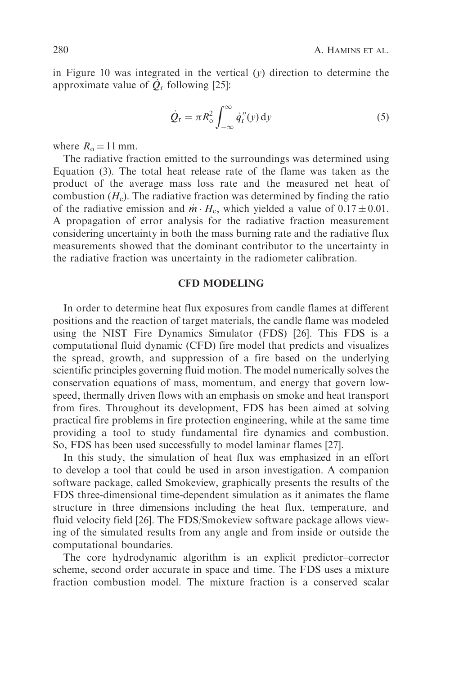in Figure 10 was integrated in the vertical  $(y)$  direction to determine the approximate value of  $\dot{Q}_r$  following [25]:

$$
\dot{Q}_{\rm r} = \pi R_{\rm o}^2 \int_{-\infty}^{\infty} \dot{q}_{\rm r}''(y) \, \mathrm{d}y \tag{5}
$$

where  $R_0 = 11$  mm.

The radiative fraction emitted to the surroundings was determined using Equation (3). The total heat release rate of the flame was taken as the product of the average mass loss rate and the measured net heat of combustion  $(H_c)$ . The radiative fraction was determined by finding the ratio of the radiative emission and  $\dot{m} \cdot H_c$ , which yielded a value of  $0.17 \pm 0.01$ . A propagation of error analysis for the radiative fraction measurement considering uncertainty in both the mass burning rate and the radiative flux measurements showed that the dominant contributor to the uncertainty in the radiative fraction was uncertainty in the radiometer calibration.

### CFD MODELING

In order to determine heat flux exposures from candle flames at different positions and the reaction of target materials, the candle flame was modeled using the NIST Fire Dynamics Simulator (FDS) [26]. This FDS is a computational fluid dynamic (CFD) fire model that predicts and visualizes the spread, growth, and suppression of a fire based on the underlying scientific principles governing fluid motion. The model numerically solves the conservation equations of mass, momentum, and energy that govern lowspeed, thermally driven flows with an emphasis on smoke and heat transport from fires. Throughout its development, FDS has been aimed at solving practical fire problems in fire protection engineering, while at the same time providing a tool to study fundamental fire dynamics and combustion. So, FDS has been used successfully to model laminar flames [27].

In this study, the simulation of heat flux was emphasized in an effort to develop a tool that could be used in arson investigation. A companion software package, called Smokeview, graphically presents the results of the FDS three-dimensional time-dependent simulation as it animates the flame structure in three dimensions including the heat flux, temperature, and fluid velocity field [26]. The FDS/Smokeview software package allows viewing of the simulated results from any angle and from inside or outside the computational boundaries.

The core hydrodynamic algorithm is an explicit predictor–corrector scheme, second order accurate in space and time. The FDS uses a mixture fraction combustion model. The mixture fraction is a conserved scalar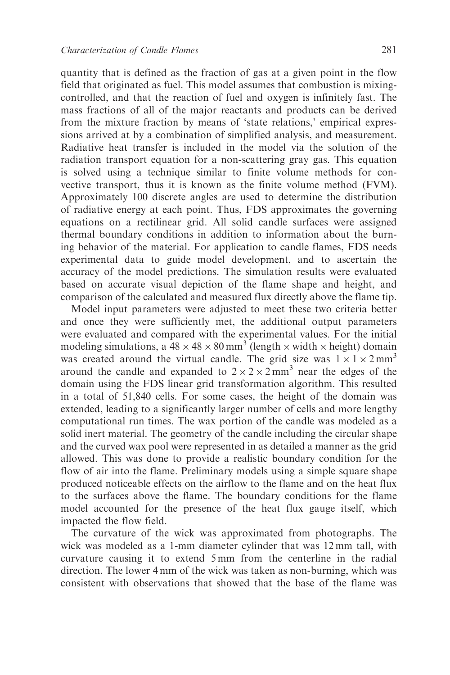quantity that is defined as the fraction of gas at a given point in the flow field that originated as fuel. This model assumes that combustion is mixingcontrolled, and that the reaction of fuel and oxygen is infinitely fast. The mass fractions of all of the major reactants and products can be derived from the mixture fraction by means of 'state relations,' empirical expressions arrived at by a combination of simplified analysis, and measurement. Radiative heat transfer is included in the model via the solution of the radiation transport equation for a non-scattering gray gas. This equation is solved using a technique similar to finite volume methods for convective transport, thus it is known as the finite volume method (FVM). Approximately 100 discrete angles are used to determine the distribution of radiative energy at each point. Thus, FDS approximates the governing equations on a rectilinear grid. All solid candle surfaces were assigned thermal boundary conditions in addition to information about the burning behavior of the material. For application to candle flames, FDS needs experimental data to guide model development, and to ascertain the accuracy of the model predictions. The simulation results were evaluated based on accurate visual depiction of the flame shape and height, and comparison of the calculated and measured flux directly above the flame tip.

Model input parameters were adjusted to meet these two criteria better and once they were sufficiently met, the additional output parameters were evaluated and compared with the experimental values. For the initial modeling simulations, a  $48 \times 48 \times 80$  mm<sup>3</sup> (length  $\times$  width  $\times$  height) domain was created around the virtual candle. The grid size was  $1 \times 1 \times 2$  mm<sup>3</sup> around the candle and expanded to  $2 \times 2 \times 2$  mm<sup>3</sup> near the edges of the domain using the FDS linear grid transformation algorithm. This resulted in a total of 51,840 cells. For some cases, the height of the domain was extended, leading to a significantly larger number of cells and more lengthy computational run times. The wax portion of the candle was modeled as a solid inert material. The geometry of the candle including the circular shape and the curved wax pool were represented in as detailed a manner as the grid allowed. This was done to provide a realistic boundary condition for the flow of air into the flame. Preliminary models using a simple square shape produced noticeable effects on the airflow to the flame and on the heat flux to the surfaces above the flame. The boundary conditions for the flame model accounted for the presence of the heat flux gauge itself, which impacted the flow field.

The curvature of the wick was approximated from photographs. The wick was modeled as a 1-mm diameter cylinder that was 12 mm tall, with curvature causing it to extend 5 mm from the centerline in the radial direction. The lower 4 mm of the wick was taken as non-burning, which was consistent with observations that showed that the base of the flame was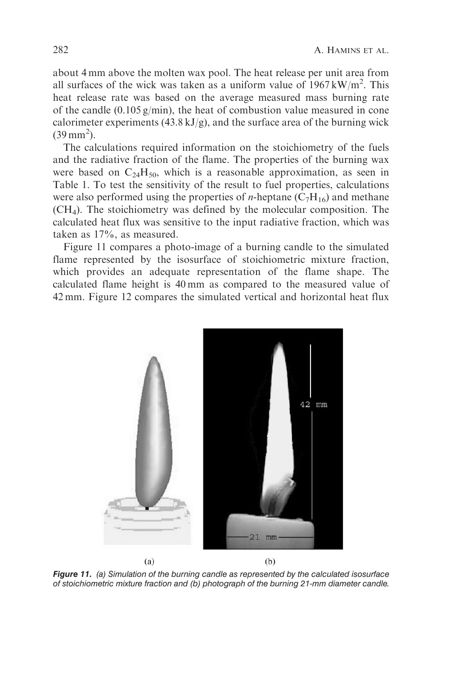about 4 mm above the molten wax pool. The heat release per unit area from all surfaces of the wick was taken as a uniform value of  $1967 \text{ kW/m}^2$ . This heat release rate was based on the average measured mass burning rate of the candle (0.105 g/min), the heat of combustion value measured in cone calorimeter experiments  $(43.8 \text{ kJ/g})$ , and the surface area of the burning wick  $(39 \text{ mm}^2)$ .

The calculations required information on the stoichiometry of the fuels and the radiative fraction of the flame. The properties of the burning wax were based on  $C_{24}H_{50}$ , which is a reasonable approximation, as seen in Table 1. To test the sensitivity of the result to fuel properties, calculations were also performed using the properties of *n*-heptane  $(C_7H_{16})$  and methane (CH4). The stoichiometry was defined by the molecular composition. The calculated heat flux was sensitive to the input radiative fraction, which was taken as 17%, as measured.

Figure 11 compares a photo-image of a burning candle to the simulated flame represented by the isosurface of stoichiometric mixture fraction, which provides an adequate representation of the flame shape. The calculated flame height is 40 mm as compared to the measured value of 42 mm. Figure 12 compares the simulated vertical and horizontal heat flux



Figure 11. (a) Simulation of the burning candle as represented by the calculated isosurface of stoichiometric mixture fraction and (b) photograph of the burning 21-mm diameter candle.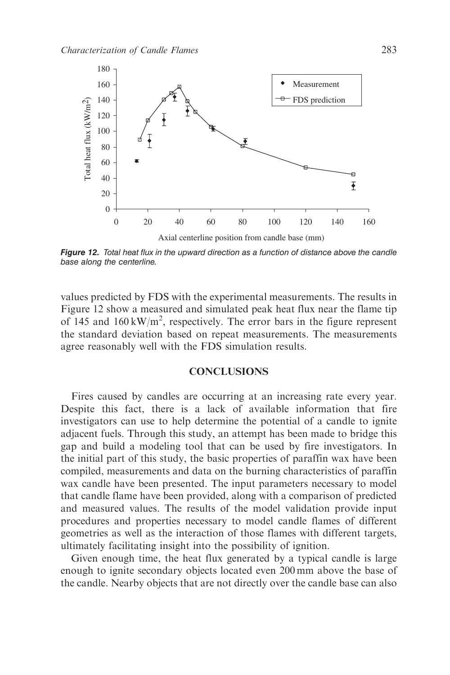

Figure 12. Total heat flux in the upward direction as a function of distance above the candle base along the centerline.

values predicted by FDS with the experimental measurements. The results in Figure 12 show a measured and simulated peak heat flux near the flame tip of 145 and  $160 \text{ kW/m}^2$ , respectively. The error bars in the figure represent the standard deviation based on repeat measurements. The measurements agree reasonably well with the FDS simulation results.

### **CONCLUSIONS**

Fires caused by candles are occurring at an increasing rate every year. Despite this fact, there is a lack of available information that fire investigators can use to help determine the potential of a candle to ignite adjacent fuels. Through this study, an attempt has been made to bridge this gap and build a modeling tool that can be used by fire investigators. In the initial part of this study, the basic properties of paraffin wax have been compiled, measurements and data on the burning characteristics of paraffin wax candle have been presented. The input parameters necessary to model that candle flame have been provided, along with a comparison of predicted and measured values. The results of the model validation provide input procedures and properties necessary to model candle flames of different geometries as well as the interaction of those flames with different targets, ultimately facilitating insight into the possibility of ignition.

Given enough time, the heat flux generated by a typical candle is large enough to ignite secondary objects located even 200 mm above the base of the candle. Nearby objects that are not directly over the candle base can also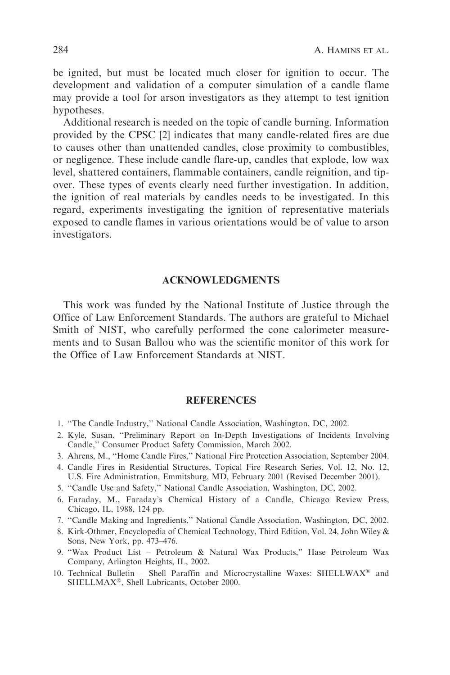be ignited, but must be located much closer for ignition to occur. The development and validation of a computer simulation of a candle flame may provide a tool for arson investigators as they attempt to test ignition hypotheses.

Additional research is needed on the topic of candle burning. Information provided by the CPSC [2] indicates that many candle-related fires are due to causes other than unattended candles, close proximity to combustibles, or negligence. These include candle flare-up, candles that explode, low wax level, shattered containers, flammable containers, candle reignition, and tipover. These types of events clearly need further investigation. In addition, the ignition of real materials by candles needs to be investigated. In this regard, experiments investigating the ignition of representative materials exposed to candle flames in various orientations would be of value to arson investigators.

### ACKNOWLEDGMENTS

This work was funded by the National Institute of Justice through the Office of Law Enforcement Standards. The authors are grateful to Michael Smith of NIST, who carefully performed the cone calorimeter measurements and to Susan Ballou who was the scientific monitor of this work for the Office of Law Enforcement Standards at NIST.

#### **REFERENCES**

- 1. ''The Candle Industry,'' National Candle Association, Washington, DC, 2002.
- 2. Kyle, Susan, ''Preliminary Report on In-Depth Investigations of Incidents Involving Candle,'' Consumer Product Safety Commission, March 2002.
- 3. Ahrens, M., ''Home Candle Fires,'' National Fire Protection Association, September 2004.
- 4. Candle Fires in Residential Structures, Topical Fire Research Series, Vol. 12, No. 12, U.S. Fire Administration, Emmitsburg, MD, February 2001 (Revised December 2001).
- 5. ''Candle Use and Safety,'' National Candle Association, Washington, DC, 2002.
- 6. Faraday, M., Faraday's Chemical History of a Candle, Chicago Review Press, Chicago, IL, 1988, 124 pp.
- 7. ''Candle Making and Ingredients,'' National Candle Association, Washington, DC, 2002.
- 8. Kirk-Othmer, Encyclopedia of Chemical Technology, Third Edition, Vol. 24, John Wiley & Sons, New York, pp. 473–476.
- 9. ''Wax Product List Petroleum & Natural Wax Products,'' Hase Petroleum Wax Company, Arlington Heights, IL, 2002.
- 10. Technical Bulletin Shell Paraffin and Microcrystalline Waxes: SHELLWAX<sup>®</sup> and SHELLMAX®, Shell Lubricants, October 2000.